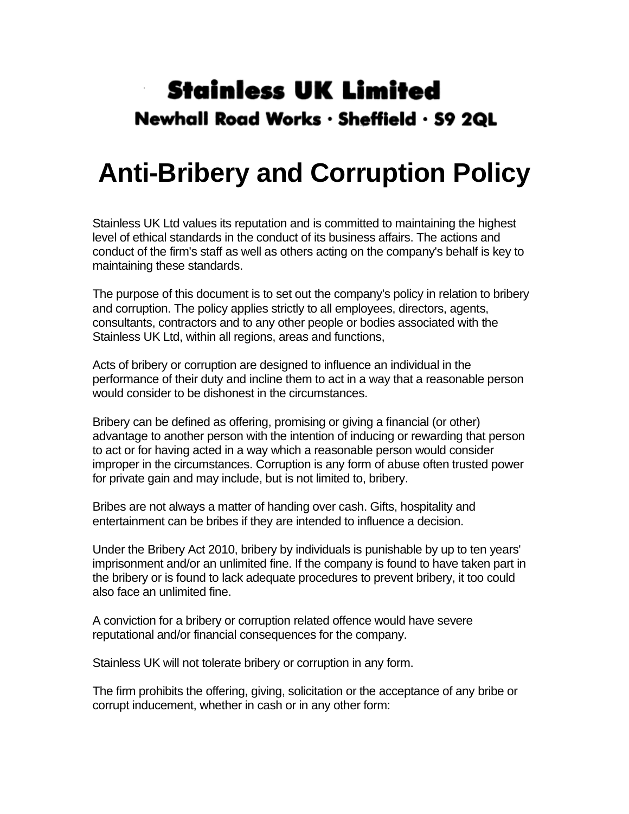## **Stainless UK Limited** Newhall Road Works · Sheffield · S9 2QL

## **Anti-Bribery and Corruption Policy**

Stainless UK Ltd values its reputation and is committed to maintaining the highest level of ethical standards in the conduct of its business affairs. The actions and conduct of the firm's staff as well as others acting on the company's behalf is key to maintaining these standards.

The purpose of this document is to set out the company's policy in relation to bribery and corruption. The policy applies strictly to all employees, directors, agents, consultants, contractors and to any other people or bodies associated with the Stainless UK Ltd, within all regions, areas and functions,

Acts of bribery or corruption are designed to influence an individual in the performance of their duty and incline them to act in a way that a reasonable person would consider to be dishonest in the circumstances.

Bribery can be defined as offering, promising or giving a financial (or other) advantage to another person with the intention of inducing or rewarding that person to act or for having acted in a way which a reasonable person would consider improper in the circumstances. Corruption is any form of abuse often trusted power for private gain and may include, but is not limited to, bribery.

Bribes are not always a matter of handing over cash. Gifts, hospitality and entertainment can be bribes if they are intended to influence a decision.

Under the Bribery Act 2010, bribery by individuals is punishable by up to ten years' imprisonment and/or an unlimited fine. If the company is found to have taken part in the bribery or is found to lack adequate procedures to prevent bribery, it too could also face an unlimited fine.

A conviction for a bribery or corruption related offence would have severe reputational and/or financial consequences for the company.

Stainless UK will not tolerate bribery or corruption in any form.

The firm prohibits the offering, giving, solicitation or the acceptance of any bribe or corrupt inducement, whether in cash or in any other form: